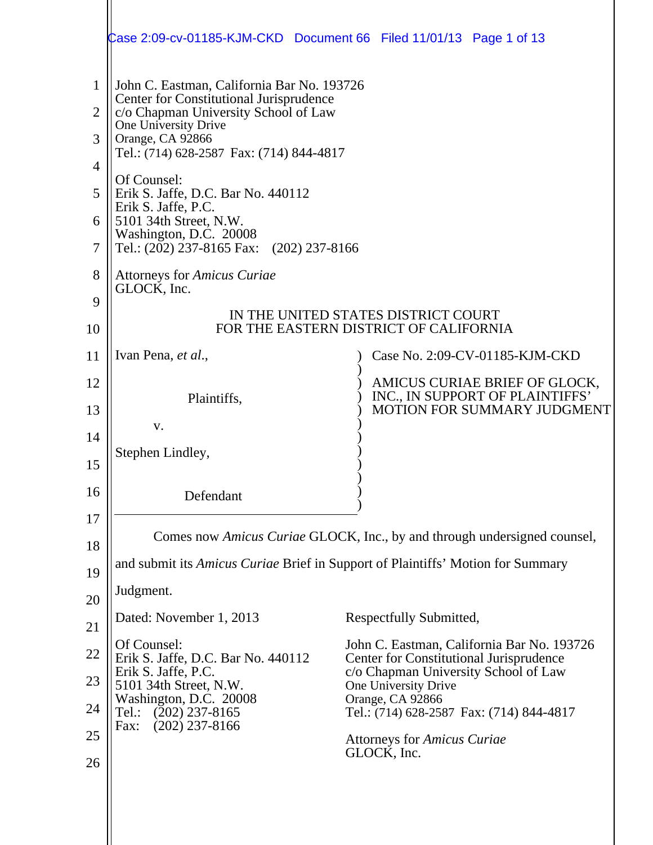|                                              | Case 2:09-cv-01185-KJM-CKD Document 66 Filed 11/01/13 Page 1 of 13                                                                                                                                                                                                                                                                                                                                |                                                                                                                |  |  |  |
|----------------------------------------------|---------------------------------------------------------------------------------------------------------------------------------------------------------------------------------------------------------------------------------------------------------------------------------------------------------------------------------------------------------------------------------------------------|----------------------------------------------------------------------------------------------------------------|--|--|--|
| 1<br>$\overline{2}$<br>3<br>4<br>5<br>6<br>7 | John C. Eastman, California Bar No. 193726<br>Center for Constitutional Jurisprudence<br>c/o Chapman University School of Law<br>One University Drive<br>Orange, CA 92866<br>Tel.: (714) 628-2587 Fax: (714) 844-4817<br>Of Counsel:<br>Erik S. Jaffe, D.C. Bar No. 440112<br>Erik S. Jaffe, P.C.<br>5101 34th Street, N.W.<br>Washington, D.C. 20008<br>Tel.: (202) 237-8165 Fax: (202) 237-8166 |                                                                                                                |  |  |  |
| 8                                            | <b>Attorneys for Amicus Curiae</b><br>GLOCK, Inc.                                                                                                                                                                                                                                                                                                                                                 |                                                                                                                |  |  |  |
| 9                                            | IN THE UNITED STATES DISTRICT COURT                                                                                                                                                                                                                                                                                                                                                               |                                                                                                                |  |  |  |
| 10                                           |                                                                                                                                                                                                                                                                                                                                                                                                   | FOR THE EASTERN DISTRICT OF CALIFORNIA                                                                         |  |  |  |
| 11                                           | Ivan Pena, et al.,                                                                                                                                                                                                                                                                                                                                                                                | Case No. 2:09-CV-01185-KJM-CKD                                                                                 |  |  |  |
| 12                                           | Plaintiffs,                                                                                                                                                                                                                                                                                                                                                                                       | AMICUS CURIAE BRIEF OF GLOCK,<br>INC., IN SUPPORT OF PLAINTIFFS'<br>MOTION FOR SUMMARY JUDGMENT                |  |  |  |
| 13<br>14                                     | V.                                                                                                                                                                                                                                                                                                                                                                                                |                                                                                                                |  |  |  |
| 15                                           | Stephen Lindley,                                                                                                                                                                                                                                                                                                                                                                                  |                                                                                                                |  |  |  |
| 16                                           | Defendant                                                                                                                                                                                                                                                                                                                                                                                         |                                                                                                                |  |  |  |
| 17                                           |                                                                                                                                                                                                                                                                                                                                                                                                   | Comes now Amicus Curiae GLOCK, Inc., by and through undersigned counsel,                                       |  |  |  |
| 18                                           |                                                                                                                                                                                                                                                                                                                                                                                                   | and submit its Amicus Curiae Brief in Support of Plaintiffs' Motion for Summary                                |  |  |  |
| 19                                           | Judgment.                                                                                                                                                                                                                                                                                                                                                                                         |                                                                                                                |  |  |  |
| 20<br>21                                     | Dated: November 1, 2013                                                                                                                                                                                                                                                                                                                                                                           | Respectfully Submitted,                                                                                        |  |  |  |
| 22                                           | Of Counsel:                                                                                                                                                                                                                                                                                                                                                                                       | John C. Eastman, California Bar No. 193726                                                                     |  |  |  |
| 23                                           | Erik S. Jaffe, D.C. Bar No. 440112<br>Erik S. Jaffe, P.C.<br>5101 34th Street, N.W.                                                                                                                                                                                                                                                                                                               | <b>Center for Constitutional Jurisprudence</b><br>c/o Chapman University School of Law<br>One University Drive |  |  |  |
| 24                                           | Washington, D.C. 20008<br>$(202)$ 237-8165<br>Tel.:                                                                                                                                                                                                                                                                                                                                               | Orange, CA 92866<br>Tel.: (714) 628-2587 Fax: (714) 844-4817                                                   |  |  |  |
| 25                                           | $(202)$ 237-8166<br>Fax:                                                                                                                                                                                                                                                                                                                                                                          | <b>Attorneys for Amicus Curiae</b>                                                                             |  |  |  |
| 26                                           |                                                                                                                                                                                                                                                                                                                                                                                                   | GLOCK, Inc.                                                                                                    |  |  |  |
|                                              |                                                                                                                                                                                                                                                                                                                                                                                                   |                                                                                                                |  |  |  |
|                                              |                                                                                                                                                                                                                                                                                                                                                                                                   |                                                                                                                |  |  |  |
|                                              |                                                                                                                                                                                                                                                                                                                                                                                                   |                                                                                                                |  |  |  |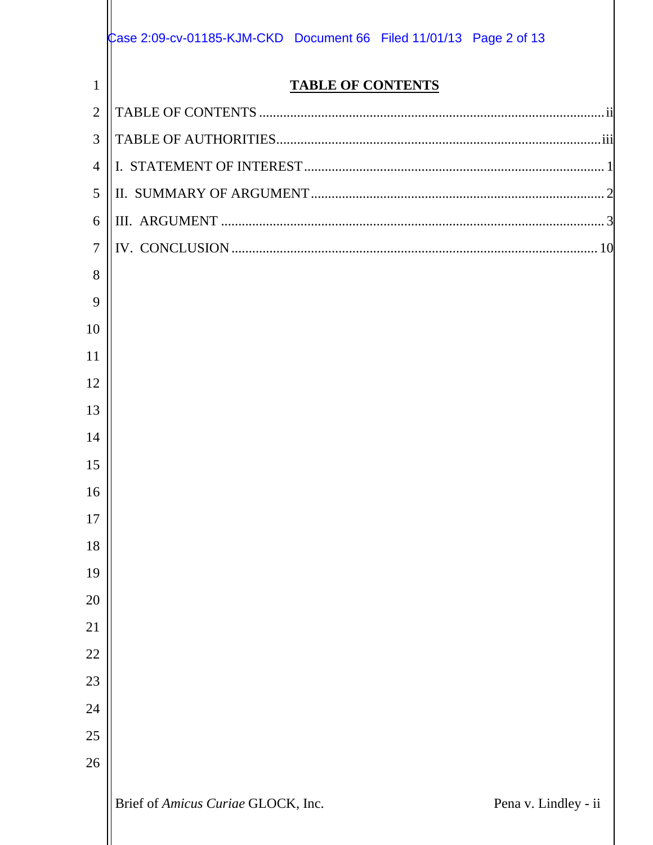|                | Case 2:09-cv-01185-KJM-CKD Document 66 Filed 11/01/13 Page 2 of 13 |
|----------------|--------------------------------------------------------------------|
| $\mathbf{1}$   | <b>TABLE OF CONTENTS</b>                                           |
| $\overline{2}$ |                                                                    |
| 3              |                                                                    |
| $\overline{4}$ |                                                                    |
| 5              |                                                                    |
| 6              |                                                                    |
| $\overline{7}$ |                                                                    |
| 8              |                                                                    |
| 9              |                                                                    |
| 10             |                                                                    |
| 11             |                                                                    |
| 12             |                                                                    |
| 13             |                                                                    |
| 14             |                                                                    |
| 15             |                                                                    |
| 16             |                                                                    |
| 17             |                                                                    |
| 18             |                                                                    |
| 19             |                                                                    |
| 20             |                                                                    |
| 21             |                                                                    |
| 22             |                                                                    |
| 23             |                                                                    |
| 24             |                                                                    |
| 25             |                                                                    |
| 26             |                                                                    |
|                | Brief of Amicus Curiae GLOCK, Inc.<br>Pena v. Lindley - ii         |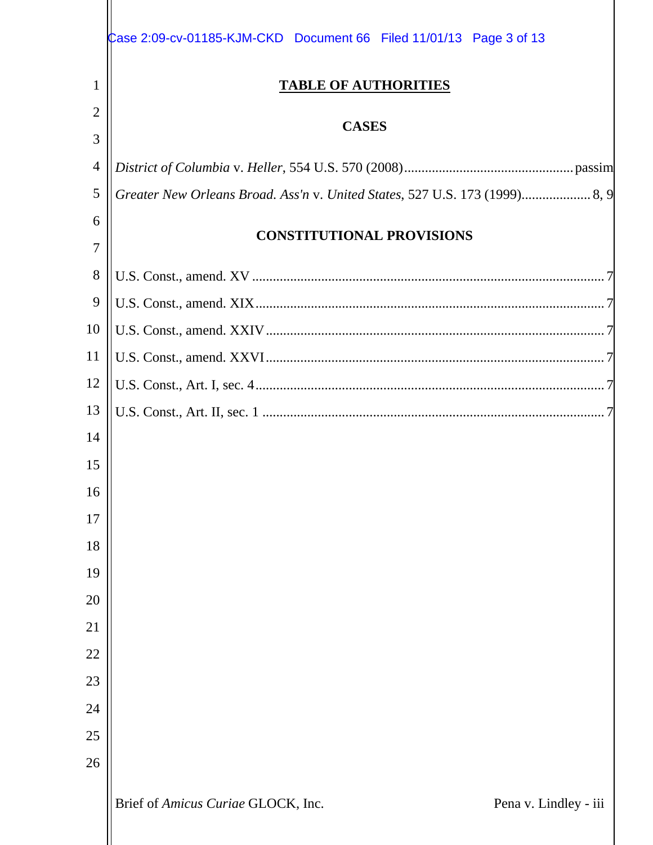|                | Case 2:09-cv-01185-KJM-CKD Document 66 Filed 11/01/13 Page 3 of 13 |  |  |  |
|----------------|--------------------------------------------------------------------|--|--|--|
| $\mathbf{1}$   | <b>TABLE OF AUTHORITIES</b>                                        |  |  |  |
| 2              |                                                                    |  |  |  |
| 3              | <b>CASES</b>                                                       |  |  |  |
| $\overline{4}$ |                                                                    |  |  |  |
| 5              |                                                                    |  |  |  |
| 6              |                                                                    |  |  |  |
| 7              | <b>CONSTITUTIONAL PROVISIONS</b>                                   |  |  |  |
| 8              |                                                                    |  |  |  |
| 9              |                                                                    |  |  |  |
| 10             |                                                                    |  |  |  |
| 11             |                                                                    |  |  |  |
| 12             |                                                                    |  |  |  |
| 13             |                                                                    |  |  |  |
| 14             |                                                                    |  |  |  |
| 15             |                                                                    |  |  |  |
| 16             |                                                                    |  |  |  |
| 17             |                                                                    |  |  |  |
| 18             |                                                                    |  |  |  |
| 19             |                                                                    |  |  |  |
| 20             |                                                                    |  |  |  |
| 21             |                                                                    |  |  |  |
| 22             |                                                                    |  |  |  |
| 23             |                                                                    |  |  |  |
| 24             |                                                                    |  |  |  |
| 25             |                                                                    |  |  |  |
| 26             |                                                                    |  |  |  |
|                | Brief of Amicus Curiae GLOCK, Inc.<br>Pena v. Lindley - iii        |  |  |  |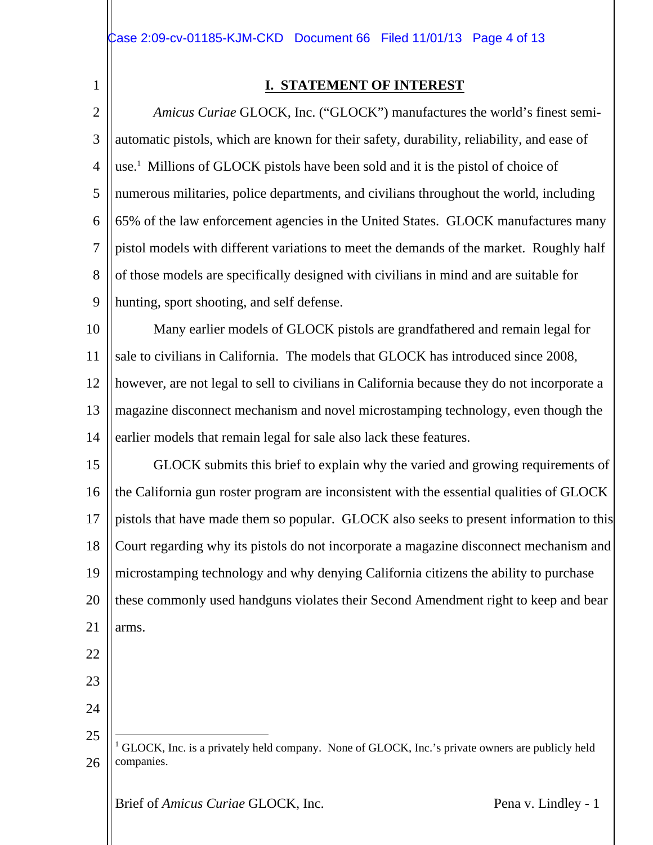1

# **I. STATEMENT OF INTEREST**

2 3 4 5 6 7 8  $\overline{Q}$ *Amicus Curiae* GLOCK, Inc. ("GLOCK") manufactures the world's finest semiautomatic pistols, which are known for their safety, durability, reliability, and ease of use.<sup>1</sup> Millions of GLOCK pistols have been sold and it is the pistol of choice of numerous militaries, police departments, and civilians throughout the world, including 65% of the law enforcement agencies in the United States. GLOCK manufactures many pistol models with different variations to meet the demands of the market. Roughly half of those models are specifically designed with civilians in mind and are suitable for hunting, sport shooting, and self defense.

10 11 Many earlier models of GLOCK pistols are grandfathered and remain legal for sale to civilians in California. The models that GLOCK has introduced since 2008,

12 13 14 however, are not legal to sell to civilians in California because they do not incorporate a magazine disconnect mechanism and novel microstamping technology, even though the earlier models that remain legal for sale also lack these features.

15 16 17 18 19 20 21 GLOCK submits this brief to explain why the varied and growing requirements of the California gun roster program are inconsistent with the essential qualities of GLOCK pistols that have made them so popular. GLOCK also seeks to present information to this Court regarding why its pistols do not incorporate a magazine disconnect mechanism and microstamping technology and why denying California citizens the ability to purchase these commonly used handguns violates their Second Amendment right to keep and bear arms.

- 22
- 23
- 24

25

 $\overline{a}$ 

```
26
1 GLOCK, Inc. is a privately held company. None of GLOCK, Inc.'s private owners are publicly held
companies.
```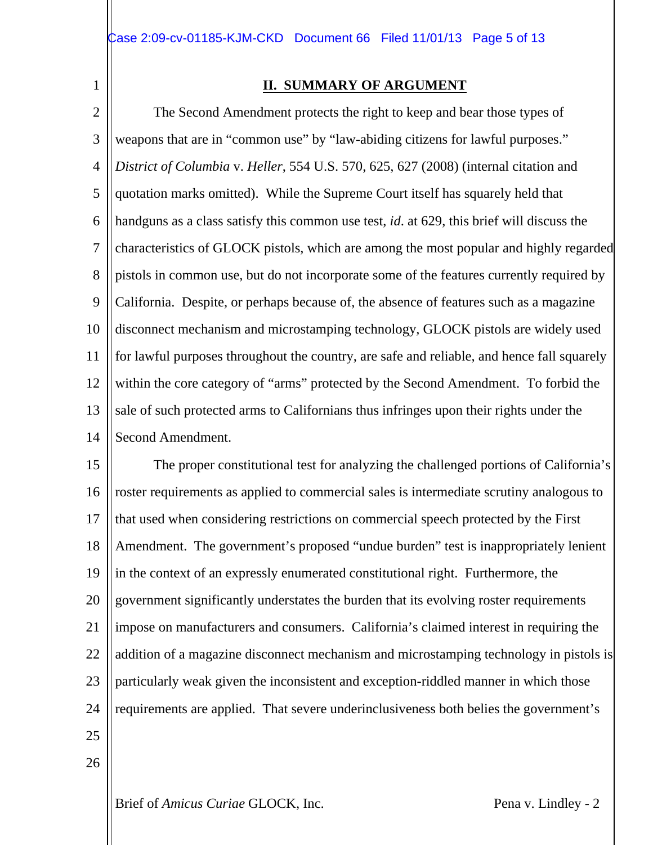1

### **II. SUMMARY OF ARGUMENT**

2 3 4 5 6 7 8  $\mathbf Q$ 10 11 12 13 14 The Second Amendment protects the right to keep and bear those types of weapons that are in "common use" by "law-abiding citizens for lawful purposes." *District of Columbia* v. *Heller*, 554 U.S. 570, 625, 627 (2008) (internal citation and quotation marks omitted). While the Supreme Court itself has squarely held that handguns as a class satisfy this common use test, *id*. at 629, this brief will discuss the characteristics of GLOCK pistols, which are among the most popular and highly regarded pistols in common use, but do not incorporate some of the features currently required by California. Despite, or perhaps because of, the absence of features such as a magazine disconnect mechanism and microstamping technology, GLOCK pistols are widely used for lawful purposes throughout the country, are safe and reliable, and hence fall squarely within the core category of "arms" protected by the Second Amendment. To forbid the sale of such protected arms to Californians thus infringes upon their rights under the Second Amendment.

15 16 17 18 19 20 21 22 23 24 25 The proper constitutional test for analyzing the challenged portions of California's roster requirements as applied to commercial sales is intermediate scrutiny analogous to that used when considering restrictions on commercial speech protected by the First Amendment. The government's proposed "undue burden" test is inappropriately lenient in the context of an expressly enumerated constitutional right. Furthermore, the government significantly understates the burden that its evolving roster requirements impose on manufacturers and consumers. California's claimed interest in requiring the addition of a magazine disconnect mechanism and microstamping technology in pistols is particularly weak given the inconsistent and exception-riddled manner in which those requirements are applied. That severe underinclusiveness both belies the government's

- 
- 26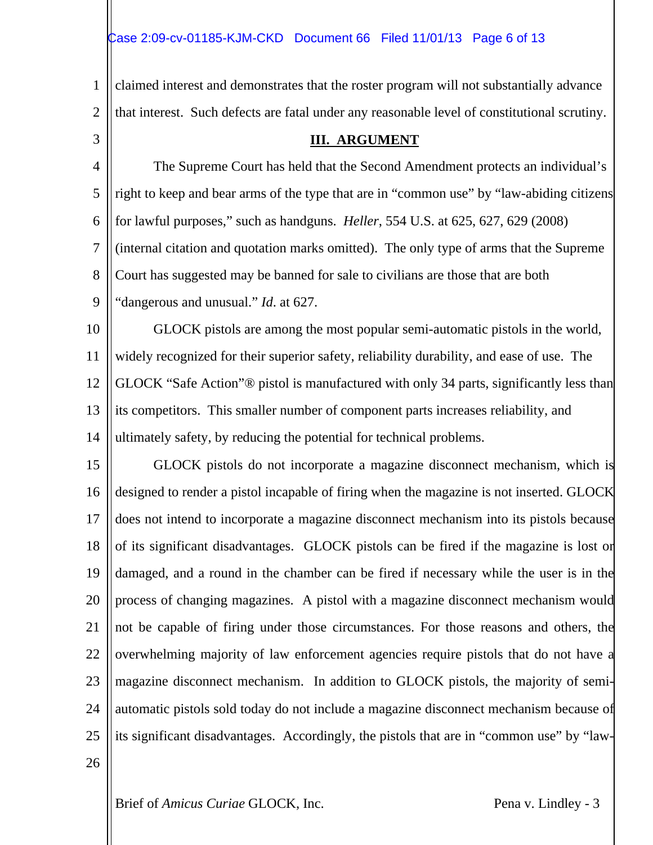1 2 3 4 5 6 7 8  $\mathbf Q$ 10 11 12 13 14 15 16 17 18 19 20 21 22 23 24 25 26 claimed interest and demonstrates that the roster program will not substantially advance that interest. Such defects are fatal under any reasonable level of constitutional scrutiny. **III. ARGUMENT** The Supreme Court has held that the Second Amendment protects an individual's right to keep and bear arms of the type that are in "common use" by "law-abiding citizens for lawful purposes," such as handguns. *Heller*, 554 U.S. at 625, 627, 629 (2008) (internal citation and quotation marks omitted). The only type of arms that the Supreme Court has suggested may be banned for sale to civilians are those that are both "dangerous and unusual." *Id*. at 627. GLOCK pistols are among the most popular semi-automatic pistols in the world, widely recognized for their superior safety, reliability durability, and ease of use. The GLOCK "Safe Action"® pistol is manufactured with only 34 parts, significantly less than its competitors. This smaller number of component parts increases reliability, and ultimately safety, by reducing the potential for technical problems. GLOCK pistols do not incorporate a magazine disconnect mechanism, which is designed to render a pistol incapable of firing when the magazine is not inserted. GLOCK does not intend to incorporate a magazine disconnect mechanism into its pistols because of its significant disadvantages. GLOCK pistols can be fired if the magazine is lost or damaged, and a round in the chamber can be fired if necessary while the user is in the process of changing magazines. A pistol with a magazine disconnect mechanism would not be capable of firing under those circumstances. For those reasons and others, the overwhelming majority of law enforcement agencies require pistols that do not have a magazine disconnect mechanism. In addition to GLOCK pistols, the majority of semiautomatic pistols sold today do not include a magazine disconnect mechanism because of its significant disadvantages. Accordingly, the pistols that are in "common use" by "law-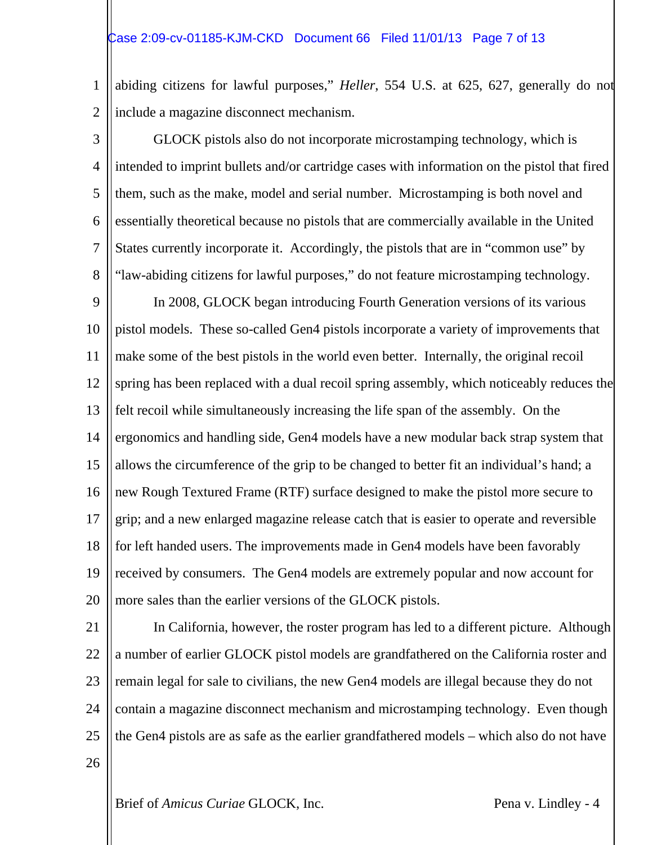#### Case 2:09-cv-01185-KJM-CKD Document 66 Filed 11/01/13 Page 7 of 13

1 2 abiding citizens for lawful purposes," *Heller*, 554 U.S. at 625, 627, generally do not include a magazine disconnect mechanism.

3 4 5 6 7 8  $\mathbf Q$ 10 11 12 13 14 15 16 17 18 19 20 GLOCK pistols also do not incorporate microstamping technology, which is intended to imprint bullets and/or cartridge cases with information on the pistol that fired them, such as the make, model and serial number. Microstamping is both novel and essentially theoretical because no pistols that are commercially available in the United States currently incorporate it. Accordingly, the pistols that are in "common use" by "law-abiding citizens for lawful purposes," do not feature microstamping technology. In 2008, GLOCK began introducing Fourth Generation versions of its various pistol models. These so-called Gen4 pistols incorporate a variety of improvements that make some of the best pistols in the world even better. Internally, the original recoil spring has been replaced with a dual recoil spring assembly, which noticeably reduces the felt recoil while simultaneously increasing the life span of the assembly. On the ergonomics and handling side, Gen4 models have a new modular back strap system that allows the circumference of the grip to be changed to better fit an individual's hand; a new Rough Textured Frame (RTF) surface designed to make the pistol more secure to grip; and a new enlarged magazine release catch that is easier to operate and reversible for left handed users. The improvements made in Gen4 models have been favorably received by consumers. The Gen4 models are extremely popular and now account for more sales than the earlier versions of the GLOCK pistols.

21 22 23 24 25 26 In California, however, the roster program has led to a different picture. Although a number of earlier GLOCK pistol models are grandfathered on the California roster and remain legal for sale to civilians, the new Gen4 models are illegal because they do not contain a magazine disconnect mechanism and microstamping technology. Even though the Gen4 pistols are as safe as the earlier grandfathered models – which also do not have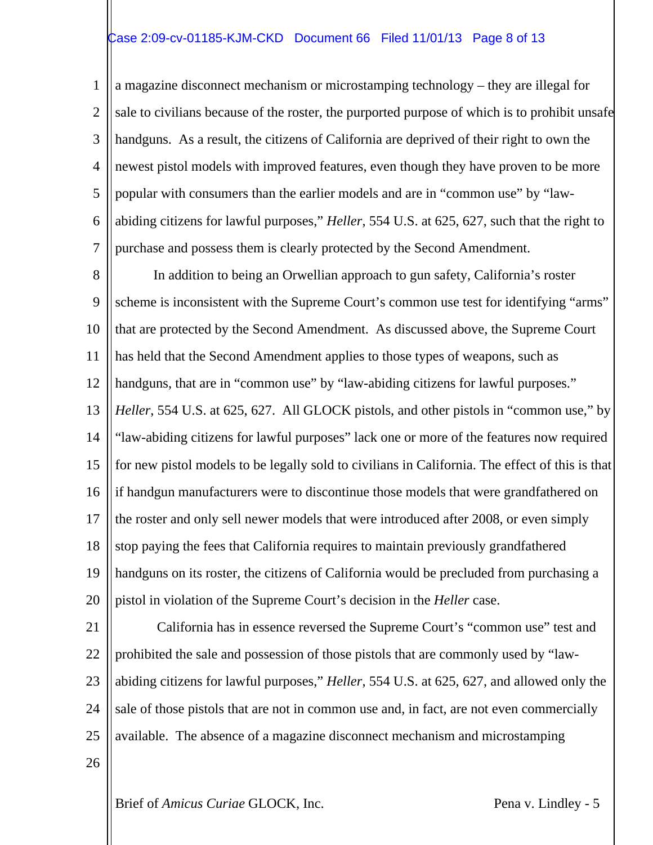# Case 2:09-cv-01185-KJM-CKD Document 66 Filed 11/01/13 Page 8 of 13

1 2 3 4 5 6 7 a magazine disconnect mechanism or microstamping technology – they are illegal for sale to civilians because of the roster, the purported purpose of which is to prohibit unsafe handguns. As a result, the citizens of California are deprived of their right to own the newest pistol models with improved features, even though they have proven to be more popular with consumers than the earlier models and are in "common use" by "lawabiding citizens for lawful purposes," *Heller*, 554 U.S. at 625, 627, such that the right to purchase and possess them is clearly protected by the Second Amendment.

8  $\mathbf Q$ 10 11 12 13 14 15 16 17 18 19 20 In addition to being an Orwellian approach to gun safety, California's roster scheme is inconsistent with the Supreme Court's common use test for identifying "arms" that are protected by the Second Amendment. As discussed above, the Supreme Court has held that the Second Amendment applies to those types of weapons, such as handguns, that are in "common use" by "law-abiding citizens for lawful purposes." *Heller*, 554 U.S. at 625, 627. All GLOCK pistols, and other pistols in "common use," by "law-abiding citizens for lawful purposes" lack one or more of the features now required for new pistol models to be legally sold to civilians in California. The effect of this is that if handgun manufacturers were to discontinue those models that were grandfathered on the roster and only sell newer models that were introduced after 2008, or even simply stop paying the fees that California requires to maintain previously grandfathered handguns on its roster, the citizens of California would be precluded from purchasing a pistol in violation of the Supreme Court's decision in the *Heller* case.

21 22 23 24 25 26 California has in essence reversed the Supreme Court's "common use" test and prohibited the sale and possession of those pistols that are commonly used by "lawabiding citizens for lawful purposes," *Heller*, 554 U.S. at 625, 627, and allowed only the sale of those pistols that are not in common use and, in fact, are not even commercially available. The absence of a magazine disconnect mechanism and microstamping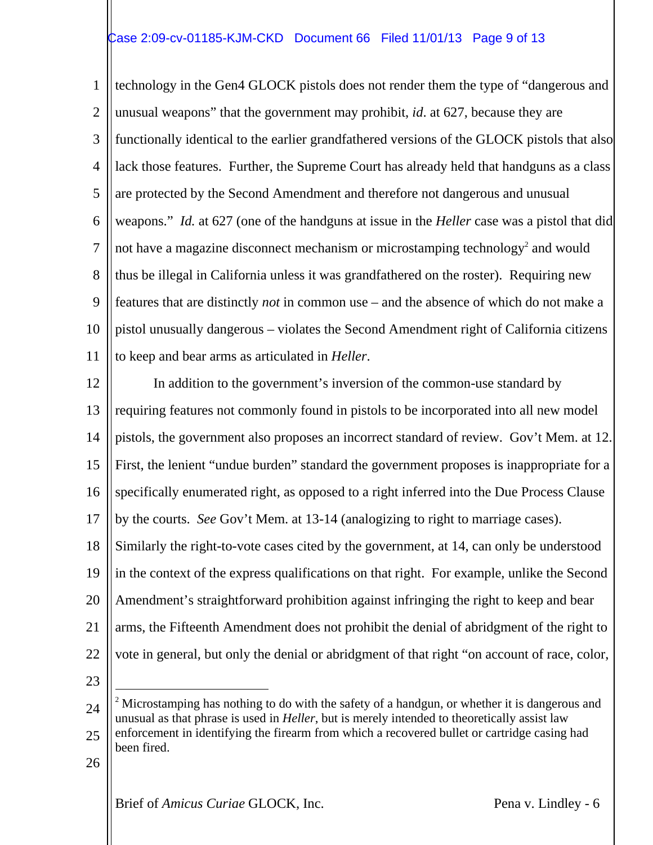# Case 2:09-cv-01185-KJM-CKD Document 66 Filed 11/01/13 Page 9 of 13

1 2 3 4 5 6 7 8  $\mathbf Q$ 10 11 technology in the Gen4 GLOCK pistols does not render them the type of "dangerous and unusual weapons" that the government may prohibit, *id*. at 627, because they are functionally identical to the earlier grandfathered versions of the GLOCK pistols that also lack those features. Further, the Supreme Court has already held that handguns as a class are protected by the Second Amendment and therefore not dangerous and unusual weapons." *Id.* at 627 (one of the handguns at issue in the *Heller* case was a pistol that did not have a magazine disconnect mechanism or microstamping technology<sup>2</sup> and would thus be illegal in California unless it was grandfathered on the roster). Requiring new features that are distinctly *not* in common use – and the absence of which do not make a pistol unusually dangerous – violates the Second Amendment right of California citizens to keep and bear arms as articulated in *Heller*.

12 13 14 15 16 17 18 19 In addition to the government's inversion of the common-use standard by requiring features not commonly found in pistols to be incorporated into all new model pistols, the government also proposes an incorrect standard of review. Gov't Mem. at 12. First, the lenient "undue burden" standard the government proposes is inappropriate for a specifically enumerated right, as opposed to a right inferred into the Due Process Clause by the courts. *See* Gov't Mem. at 13-14 (analogizing to right to marriage cases). Similarly the right-to-vote cases cited by the government, at 14, can only be understood in the context of the express qualifications on that right. For example, unlike the Second

20 Amendment's straightforward prohibition against infringing the right to keep and bear

21 arms, the Fifteenth Amendment does not prohibit the denial of abridgment of the right to

vote in general, but only the denial or abridgment of that right "on account of race, color,

- 22 23
- 24 25  $\overline{a}$ <sup>2</sup> Microstamping has nothing to do with the safety of a handgun, or whether it is dangerous and unusual as that phrase is used in *Heller*, but is merely intended to theoretically assist law enforcement in identifying the firearm from which a recovered bullet or cartridge casing had been fired.
- 26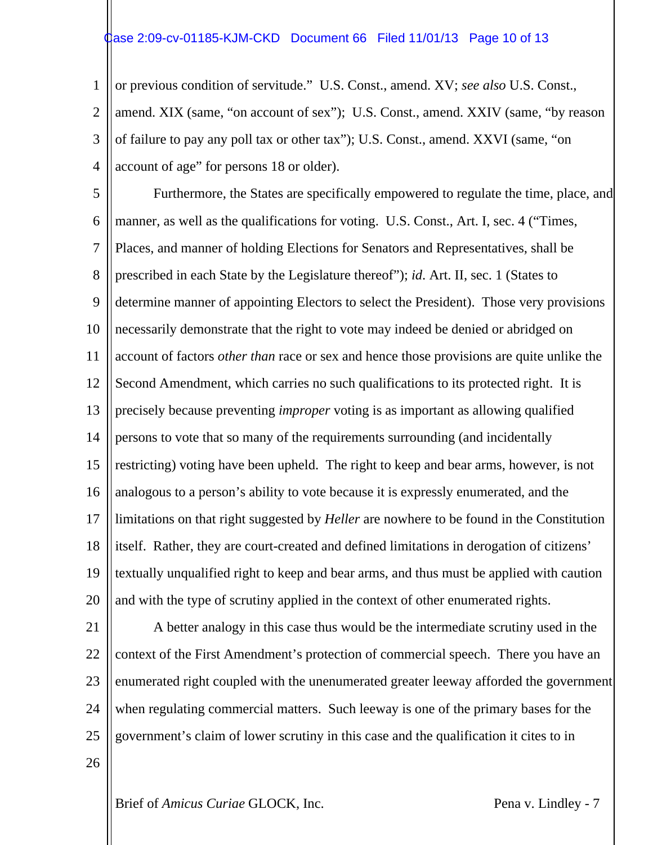### $\frac{1}{2}$ ase 2:09-cv-01185-KJM-CKD Document 66 Filed 11/01/13 Page 10 of 13

1 2 3 4 or previous condition of servitude." U.S. Const., amend. XV; *see also* U.S. Const., amend. XIX (same, "on account of sex"); U.S. Const., amend. XXIV (same, "by reason of failure to pay any poll tax or other tax"); U.S. Const., amend. XXVI (same, "on account of age" for persons 18 or older).

5 6 7 8  $\mathbf Q$ 10 11 12 13 14 15 16 17 18 19 20 Furthermore, the States are specifically empowered to regulate the time, place, and manner, as well as the qualifications for voting. U.S. Const., Art. I, sec. 4 ("Times, Places, and manner of holding Elections for Senators and Representatives, shall be prescribed in each State by the Legislature thereof"); *id*. Art. II, sec. 1 (States to determine manner of appointing Electors to select the President). Those very provisions necessarily demonstrate that the right to vote may indeed be denied or abridged on account of factors *other than* race or sex and hence those provisions are quite unlike the Second Amendment, which carries no such qualifications to its protected right. It is precisely because preventing *improper* voting is as important as allowing qualified persons to vote that so many of the requirements surrounding (and incidentally restricting) voting have been upheld. The right to keep and bear arms, however, is not analogous to a person's ability to vote because it is expressly enumerated, and the limitations on that right suggested by *Heller* are nowhere to be found in the Constitution itself. Rather, they are court-created and defined limitations in derogation of citizens' textually unqualified right to keep and bear arms, and thus must be applied with caution and with the type of scrutiny applied in the context of other enumerated rights.

21 22 23 24 25 26 A better analogy in this case thus would be the intermediate scrutiny used in the context of the First Amendment's protection of commercial speech. There you have an enumerated right coupled with the unenumerated greater leeway afforded the government when regulating commercial matters. Such leeway is one of the primary bases for the government's claim of lower scrutiny in this case and the qualification it cites to in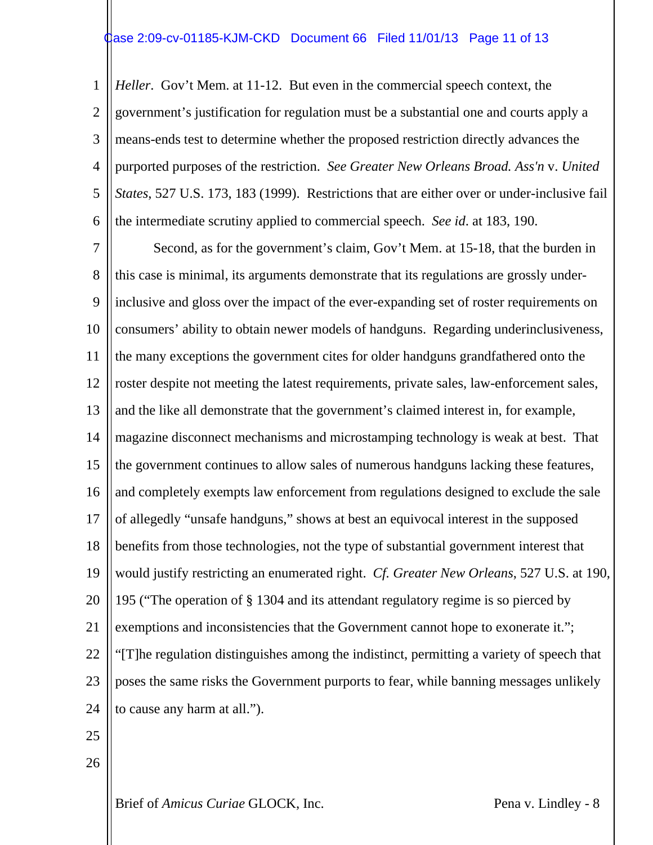# $\frac{1}{2}$ ase 2:09-cv-01185-KJM-CKD Document 66 Filed 11/01/13 Page 11 of 13

1 2 3 4 5 6 *Heller*. Gov't Mem. at 11-12. But even in the commercial speech context, the government's justification for regulation must be a substantial one and courts apply a means-ends test to determine whether the proposed restriction directly advances the purported purposes of the restriction. *See Greater New Orleans Broad. Ass'n* v. *United States*, 527 U.S. 173, 183 (1999). Restrictions that are either over or under-inclusive fail the intermediate scrutiny applied to commercial speech. *See id*. at 183, 190.

7 8  $\mathbf Q$ 10 11 12 13 14 15 16 17 18 19 20 21 22 23 24 Second, as for the government's claim, Gov't Mem. at 15-18, that the burden in this case is minimal, its arguments demonstrate that its regulations are grossly underinclusive and gloss over the impact of the ever-expanding set of roster requirements on consumers' ability to obtain newer models of handguns. Regarding underinclusiveness, the many exceptions the government cites for older handguns grandfathered onto the roster despite not meeting the latest requirements, private sales, law-enforcement sales, and the like all demonstrate that the government's claimed interest in, for example, magazine disconnect mechanisms and microstamping technology is weak at best. That the government continues to allow sales of numerous handguns lacking these features, and completely exempts law enforcement from regulations designed to exclude the sale of allegedly "unsafe handguns," shows at best an equivocal interest in the supposed benefits from those technologies, not the type of substantial government interest that would justify restricting an enumerated right. *Cf. Greater New Orleans*, 527 U.S. at 190, 195 ("The operation of § 1304 and its attendant regulatory regime is so pierced by exemptions and inconsistencies that the Government cannot hope to exonerate it."; "[T]he regulation distinguishes among the indistinct, permitting a variety of speech that poses the same risks the Government purports to fear, while banning messages unlikely to cause any harm at all.").

- 25
- 26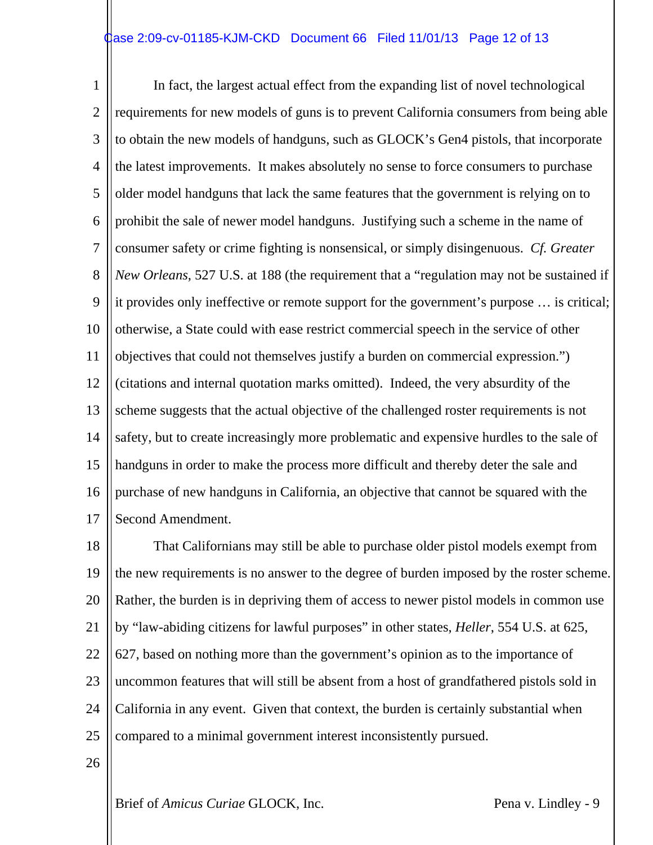# $\frac{1}{2}$ ase 2:09-cv-01185-KJM-CKD Document 66 Filed 11/01/13 Page 12 of 13

1 2 3 4 5 6 7 8  $\mathbf Q$ 10 11 12 13 14 15 16 17 In fact, the largest actual effect from the expanding list of novel technological requirements for new models of guns is to prevent California consumers from being able to obtain the new models of handguns, such as GLOCK's Gen4 pistols, that incorporate the latest improvements. It makes absolutely no sense to force consumers to purchase older model handguns that lack the same features that the government is relying on to prohibit the sale of newer model handguns. Justifying such a scheme in the name of consumer safety or crime fighting is nonsensical, or simply disingenuous. *Cf. Greater New Orleans*, 527 U.S. at 188 (the requirement that a "regulation may not be sustained if it provides only ineffective or remote support for the government's purpose … is critical; otherwise, a State could with ease restrict commercial speech in the service of other objectives that could not themselves justify a burden on commercial expression.") (citations and internal quotation marks omitted). Indeed, the very absurdity of the scheme suggests that the actual objective of the challenged roster requirements is not safety, but to create increasingly more problematic and expensive hurdles to the sale of handguns in order to make the process more difficult and thereby deter the sale and purchase of new handguns in California, an objective that cannot be squared with the Second Amendment.

18 19 20 21 22 23 24 25 That Californians may still be able to purchase older pistol models exempt from the new requirements is no answer to the degree of burden imposed by the roster scheme. Rather, the burden is in depriving them of access to newer pistol models in common use by "law-abiding citizens for lawful purposes" in other states, *Heller*, 554 U.S. at 625, 627, based on nothing more than the government's opinion as to the importance of uncommon features that will still be absent from a host of grandfathered pistols sold in California in any event. Given that context, the burden is certainly substantial when compared to a minimal government interest inconsistently pursued.

26